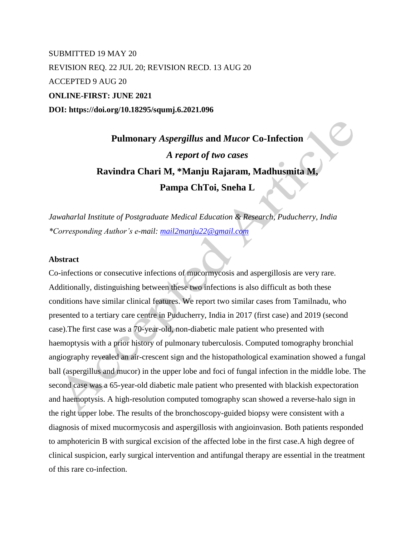SUBMITTED 19 MAY 20 REVISION REQ. 22 JUL 20; REVISION RECD. 13 AUG 20 ACCEPTED 9 AUG 20 **ONLINE-FIRST: JUNE 2021 DOI: https://doi.org/10.18295/squmj.6.2021.096**

# **Pulmonary** *Aspergillus* **and** *Mucor* **Co-Infection** *A report of two cases* **Ravindra Chari M, \*Manju Rajaram, Madhusmita M, Pampa ChToi, Sneha L**

*Jawaharlal Institute of Postgraduate Medical Education & Research, Puducherry, India \*Corresponding Author's e-mail: [mail2manju22@gmail.com](mailto:mail2manju22@gmail.com)*

## **Abstract**

Co-infections or consecutive infections of mucormycosis and aspergillosis are very rare. Additionally, distinguishing between these two infections is also difficult as both these conditions have similar clinical features. We report two similar cases from Tamilnadu, who presented to a tertiary care centre in Puducherry, India in 2017 (first case) and 2019 (second case).The first case was a 70-year-old, non-diabetic male patient who presented with haemoptysis with a prior history of pulmonary tuberculosis. Computed tomography bronchial angiography revealed an air-crescent sign and the histopathological examination showed a fungal ball (aspergillus and mucor) in the upper lobe and foci of fungal infection in the middle lobe. The second case was a 65-year-old diabetic male patient who presented with blackish expectoration and haemoptysis. A high-resolution computed tomography scan showed a reverse-halo sign in the right upper lobe. The results of the bronchoscopy-guided biopsy were consistent with a diagnosis of mixed mucormycosis and aspergillosis with angioinvasion. Both patients responded to amphotericin B with surgical excision of the affected lobe in the first case.A high degree of clinical suspicion, early surgical intervention and antifungal therapy are essential in the treatment of this rare co-infection.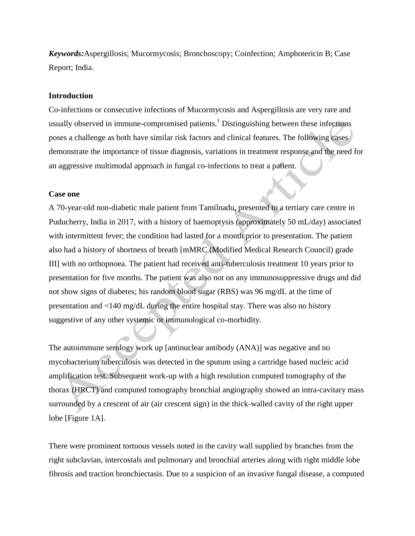*Keywords:*Aspergillosis; Mucormycosis; Bronchoscopy; Coinfection; Amphotericin B; Case Report; India.

### **Introduction**

Co-infections or consecutive infections of Mucormycosis and Aspergillosis are very rare and usually observed in immune-compromised patients.<sup>1</sup> Distinguishing between these infections poses a challenge as both have similar risk factors and clinical features. The following cases demonstrate the importance of tissue diagnosis, variations in treatment response and the need for an aggressive multimodal approach in fungal co-infections to treat a patient.

# **Case one**

A 70-year-old non-diabetic male patient from Tamilnadu, presented to a tertiary care centre in Puducherry, India in 2017, with a history of haemoptysis (approximately 50 mL/day) associated with intermittent fever; the condition had lasted for a month prior to presentation. The patient also had a history of shortness of breath [mMRC (Modified Medical Research Council) grade III] with no orthopnoea. The patient had received anti-tuberculosis treatment 10 years prior to presentation for five months. The patient was also not on any immunosuppressive drugs and did not show signs of diabetes; his random blood sugar (RBS) was 96 mg/dL at the time of presentation and <140 mg/dL during the entire hospital stay. There was also no history suggestive of any other systemic or immunological co-morbidity.

The autoimmune serology work up [antinuclear antibody (ANA)] was negative and no mycobacterium tuberculosis was detected in the sputum using a cartridge based nucleic acid amplification test. Subsequent work-up with a high resolution computed tomography of the thorax (HRCT) and computed tomography bronchial angiography showed an intra-cavitary mass surrounded by a crescent of air (air crescent sign) in the thick-walled cavity of the right upper lobe [Figure 1A].

There were prominent tortuous vessels noted in the cavity wall supplied by branches from the right subclavian, intercostals and pulmonary and bronchial arteries along with right middle lobe fibrosis and traction bronchiectasis. Due to a suspicion of an invasive fungal disease, a computed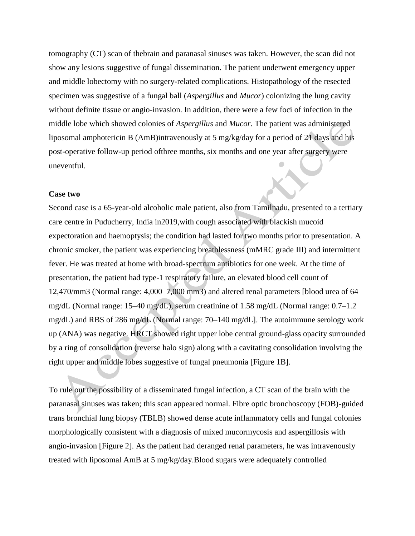tomography (CT) scan of thebrain and paranasal sinuses was taken. However, the scan did not show any lesions suggestive of fungal dissemination. The patient underwent emergency upper and middle lobectomy with no surgery-related complications. Histopathology of the resected specimen was suggestive of a fungal ball (*Aspergillus* and *Mucor*) colonizing the lung cavity without definite tissue or angio-invasion. In addition, there were a few foci of infection in the middle lobe which showed colonies of *Aspergillus* and *Mucor*. The patient was administered liposomal amphotericin B (AmB)intravenously at 5 mg/kg/day for a period of 21 days and his post-operative follow-up period ofthree months, six months and one year after surgery were uneventful.

## **Case two**

Second case is a 65-year-old alcoholic male patient, also from Tamilnadu, presented to a tertiary care centre in Puducherry, India in2019,with cough associated with blackish mucoid expectoration and haemoptysis; the condition had lasted for two months prior to presentation. A chronic smoker, the patient was experiencing breathlessness (mMRC grade III) and intermittent fever. He was treated at home with broad-spectrum antibiotics for one week. At the time of presentation, the patient had type-1 respiratory failure, an elevated blood cell count of 12,470/mm3 (Normal range: 4,000–7,000 mm3) and altered renal parameters [blood urea of 64 mg/dL (Normal range: 15–40 mg/dL), serum creatinine of 1.58 mg/dL (Normal range: 0.7–1.2 mg/dL) and RBS of 286 mg/dL (Normal range: 70–140 mg/dL]. The autoimmune serology work up (ANA) was negative. HRCT showed right upper lobe central ground-glass opacity surrounded by a ring of consolidation (reverse halo sign) along with a cavitating consolidation involving the right upper and middle lobes suggestive of fungal pneumonia [Figure 1B].

To rule out the possibility of a disseminated fungal infection, a CT scan of the brain with the paranasal sinuses was taken; this scan appeared normal. Fibre optic bronchoscopy (FOB)-guided trans bronchial lung biopsy (TBLB) showed dense acute inflammatory cells and fungal colonies morphologically consistent with a diagnosis of mixed mucormycosis and aspergillosis with angio-invasion [Figure 2]. As the patient had deranged renal parameters, he was intravenously treated with liposomal AmB at 5 mg/kg/day.Blood sugars were adequately controlled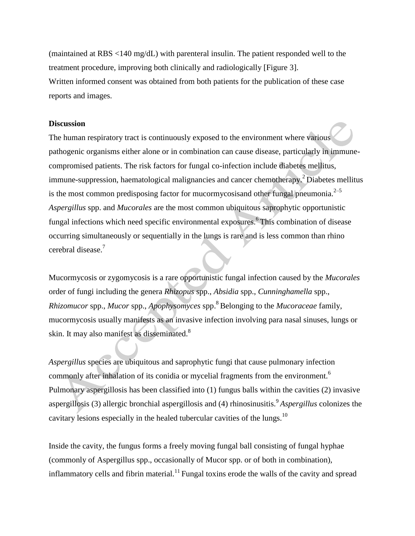(maintained at RBS <140 mg/dL) with parenteral insulin. The patient responded well to the treatment procedure, improving both clinically and radiologically [Figure 3]. Written informed consent was obtained from both patients for the publication of these case reports and images.

#### **Discussion**

The human respiratory tract is continuously exposed to the environment where various pathogenic organisms either alone or in combination can cause disease, particularly in immunecompromised patients. The risk factors for fungal co-infection include diabetes mellitus, immune-suppression, haematological malignancies and cancer chemotherapy.<sup>2</sup> Diabetes mellitus is the most common predisposing factor for mucormycosisand other fungal pneumonia.<sup> $2-5$ </sup> *Aspergillus* spp. and *Mucorales* are the most common ubiquitous saprophytic opportunistic fungal infections which need specific environmental exposures. <sup>6</sup> This combination of disease occurring simultaneously or sequentially in the lungs is rare and is less common than rhino cerebral disease.<sup>7</sup>

Mucormycosis or zygomycosis is a rare opportunistic fungal infection caused by the *Mucorales* order of fungi including the genera *Rhizopus* spp., *Absidia* spp., *Cunninghamella* spp., *Rhizomucor* spp., *Mucor* spp., *Apophysomyces* spp. <sup>8</sup> Belonging to the *Mucoraceae* family, mucormycosis usually manifests as an invasive infection involving para nasal sinuses, lungs or skin. It may also manifest as disseminated.<sup>8</sup>

*Aspergillus* species are ubiquitous and saprophytic fungi that cause pulmonary infection commonly after inhalation of its conidia or mycelial fragments from the environment.<sup>6</sup> Pulmonary aspergillosis has been classified into (1) fungus balls within the cavities (2) invasive aspergillosis (3) allergic bronchial aspergillosis and (4) rhinosinusitis.<sup>9</sup>*Aspergillus* colonizes the cavitary lesions especially in the healed tubercular cavities of the lungs.<sup>10</sup>

Inside the cavity, the fungus forms a freely moving fungal ball consisting of fungal hyphae (commonly of Aspergillus spp., occasionally of Mucor spp. or of both in combination), inflammatory cells and fibrin material.<sup>11</sup> Fungal toxins erode the walls of the cavity and spread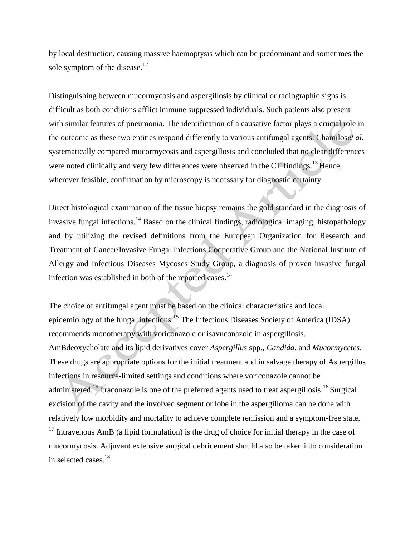by local destruction, causing massive haemoptysis which can be predominant and sometimes the sole symptom of the disease.<sup>12</sup>

Distinguishing between mucormycosis and aspergillosis by clinical or radiographic signs is difficult as both conditions afflict immune suppressed individuals. Such patients also present with similar features of pneumonia. The identification of a causative factor plays a crucial role in the outcome as these two entities respond differently to various antifungal agents. Chamilos*et al*. systematically compared mucormycosis and aspergillosis and concluded that no clear differences were noted clinically and very few differences were observed in the CT findings.<sup>13</sup> Hence, wherever feasible, confirmation by microscopy is necessary for diagnostic certainty.

Direct histological examination of the tissue biopsy remains the gold standard in the diagnosis of invasive fungal infections.<sup>14</sup> Based on the clinical findings, radiological imaging, histopathology and by utilizing the revised definitions from the European Organization for Research and Treatment of Cancer/Invasive Fungal Infections Cooperative Group and the National Institute of Allergy and Infectious Diseases Mycoses Study Group, a diagnosis of proven invasive fungal infection was established in both of the reported cases.<sup>14</sup>

The choice of antifungal agent must be based on the clinical characteristics and local epidemiology of the fungal infections.<sup>15</sup> The Infectious Diseases Society of America (IDSA) recommends monotherapy with voriconazole or isavuconazole in aspergillosis. AmBdeoxycholate and its lipid derivatives cover *Aspergillus* spp., *Candida*, and *Mucormycetes*. These drugs are appropriate options for the initial treatment and in salvage therapy of Aspergillus infections in resource-limited settings and conditions where voriconazole cannot be administered.<sup>15</sup> Itraconazole is one of the preferred agents used to treat aspergillosis.<sup>16</sup> Surgical excision of the cavity and the involved segment or lobe in the aspergilloma can be done with relatively low morbidity and mortality to achieve complete remission and a symptom-free state.  $17$  Intravenous AmB (a lipid formulation) is the drug of choice for initial therapy in the case of mucormycosis. Adjuvant extensive surgical debridement should also be taken into consideration in selected cases.<sup>18</sup>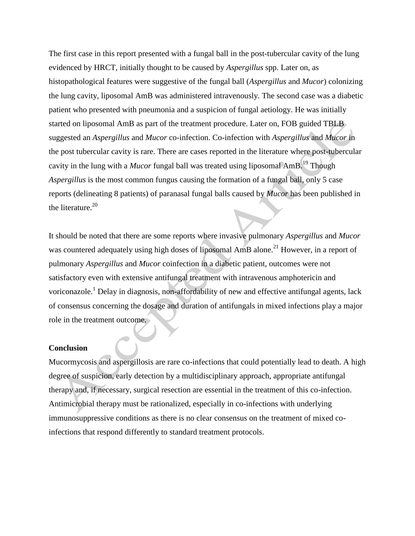The first case in this report presented with a fungal ball in the post-tubercular cavity of the lung evidenced by HRCT, initially thought to be caused by *Aspergillus* spp. Later on, as histopathological features were suggestive of the fungal ball (*Aspergillus* and *Mucor*) colonizing the lung cavity, liposomal AmB was administered intravenously. The second case was a diabetic patient who presented with pneumonia and a suspicion of fungal aetiology. He was initially started on liposomal AmB as part of the treatment procedure. Later on, FOB guided TBLB suggested an *Aspergillus* and *Mucor* co-infection. Co-infection with *Aspergillus* and *Mucor* in the post tubercular cavity is rare. There are cases reported in the literature where post-tubercular cavity in the lung with a *Mucor* fungal ball was treated using liposomal AmB.<sup>19</sup> Though *Aspergillus* is the most common fungus causing the formation of a fungal ball, only 5 case reports (delineating 8 patients) of paranasal fungal balls caused by *Mucor* has been published in the literature. $20$ 

It should be noted that there are some reports where invasive pulmonary *Aspergillus* and *Mucor* was countered adequately using high doses of liposomal AmB alone.<sup>21</sup> However, in a report of pulmonary *Aspergillus* and *Mucor* coinfection in a diabetic patient, outcomes were not satisfactory even with extensive antifungal treatment with intravenous amphotericin and voriconazole.<sup>1</sup> Delay in diagnosis, non-affordability of new and effective antifungal agents, lack of consensus concerning the dosage and duration of antifungals in mixed infections play a major role in the treatment outcome.

#### **Conclusion**

Mucormycosis and aspergillosis are rare co-infections that could potentially lead to death. A high degree of suspicion, early detection by a multidisciplinary approach, appropriate antifungal therapy and, if necessary, surgical resection are essential in the treatment of this co-infection. Antimicrobial therapy must be rationalized, especially in co-infections with underlying immunosuppressive conditions as there is no clear consensus on the treatment of mixed coinfections that respond differently to standard treatment protocols.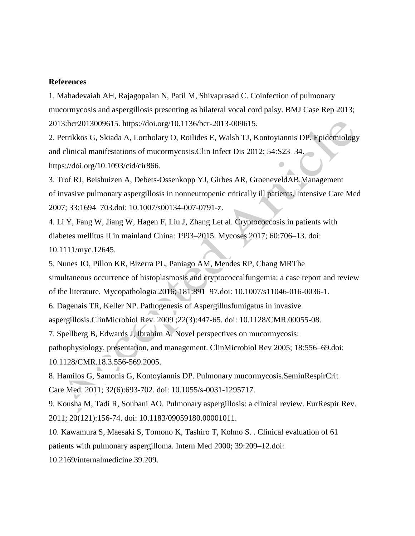## **References**

1. Mahadevaiah AH, Rajagopalan N, Patil M, Shivaprasad C. Coinfection of pulmonary mucormycosis and aspergillosis presenting as bilateral vocal cord palsy. BMJ Case Rep 2013; 2013:bcr2013009615. https://doi.org/10.1136/bcr-2013-009615.

2. Petrikkos G, Skiada A, Lortholary O, Roilides E, Walsh TJ, Kontoyiannis DP. Epidemiology and clinical manifestations of mucormycosis.Clin Infect Dis 2012; 54:S23–34. [https://doi.org/10.1093/cid/cir866.](https://doi.org/10.1093/cid/cir866)

3. Trof RJ, Beishuizen A, Debets-Ossenkopp YJ, Girbes AR, GroeneveldAB.Management of invasive pulmonary aspergillosis in nonneutropenic critically ill patients. Intensive Care Med 2007; 33:1694–703.doi: 10.1007/s00134-007-0791-z.

4. Li Y, Fang W, Jiang W, Hagen F, Liu J, Zhang Let al. Cryptococcosis in patients with diabetes mellitus II in mainland China: 1993–2015. Mycoses 2017; 60:706–13. doi: 10.1111/myc.12645.

5. Nunes JO, Pillon KR, Bizerra PL, Paniago AM, Mendes RP, Chang MRThe simultaneous occurrence of histoplasmosis and cryptococcalfungemia: a case report and review of the literature. Mycopathologia 2016; 181:891–97.doi: 10.1007/s11046-016-0036-1.

6. Dagenais TR, Keller NP. Pathogenesis of Aspergillusfumigatus in invasive aspergillosis.ClinMicrobiol Rev. 2009 ;22(3):447-65. doi: 10.1128/CMR.00055-08.

7. Spellberg B, Edwards J, Ibrahim A. Novel perspectives on mucormycosis: pathophysiology, presentation, and management. ClinMicrobiol Rev 2005; 18:556–69.doi: 10.1128/CMR.18.3.556-569.2005.

8. Hamilos G, Samonis G, Kontoyiannis DP. Pulmonary mucormycosis.SeminRespirCrit Care Med. 2011; 32(6):693-702. doi: 10.1055/s-0031-1295717.

9. Kousha M, Tadi R, Soubani AO. Pulmonary aspergillosis: a clinical review. EurRespir Rev. 2011; 20(121):156-74. doi: 10.1183/09059180.00001011.

10. Kawamura S, Maesaki S, Tomono K, Tashiro T, Kohno S. . Clinical evaluation of 61 patients with pulmonary aspergilloma. Intern Med 2000; 39:209–12.doi:

10.2169/internalmedicine.39.209.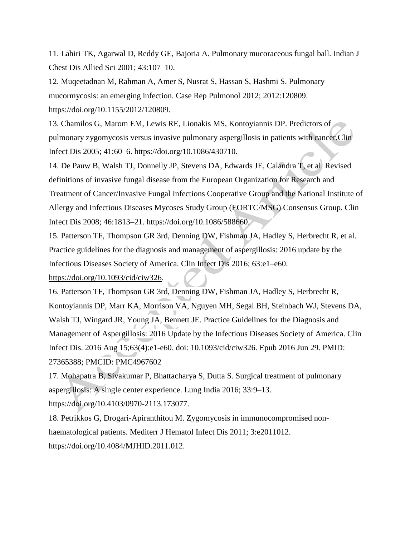11. Lahiri TK, Agarwal D, Reddy GE, Bajoria A. Pulmonary mucoraceous fungal ball. Indian J Chest Dis Allied Sci 2001; 43:107–10.

12. Muqeetadnan M, Rahman A, Amer S, Nusrat S, Hassan S, Hashmi S. Pulmonary mucormycosis: an emerging infection. Case Rep Pulmonol 2012; 2012:120809. https://doi.org/10.1155/2012/120809.

13. Chamilos G, Marom EM, Lewis RE, Lionakis MS, Kontoyiannis DP. Predictors of pulmonary zygomycosis versus invasive pulmonary aspergillosis in patients with cancer.Clin Infect Dis 2005; 41:60–6. https://doi.org/10.1086/430710.

14. De Pauw B, Walsh TJ, Donnelly JP, Stevens DA, Edwards JE, Calandra T, et al. Revised definitions of invasive fungal disease from the European Organization for Research and Treatment of Cancer/Invasive Fungal Infections Cooperative Group and the National Institute of Allergy and Infectious Diseases Mycoses Study Group (EORTC/MSG) Consensus Group. Clin Infect Dis 2008; 46:1813–21. https://doi.org/10.1086/588660.

15. Patterson TF, Thompson GR 3rd, Denning DW, Fishman JA, Hadley S, Herbrecht R, et al. Practice guidelines for the diagnosis and management of aspergillosis: 2016 update by the Infectious Diseases Society of America. Clin Infect Dis 2016; 63:e1–e60.

[https://doi.org/10.1093/cid/ciw326.](https://doi.org/10.1093/cid/ciw326)

16. Patterson TF, Thompson GR 3rd, Denning DW, Fishman JA, Hadley S, Herbrecht R, Kontoyiannis DP, Marr KA, Morrison VA, Nguyen MH, Segal BH, Steinbach WJ, Stevens DA, Walsh TJ, Wingard JR, Young JA, Bennett JE. Practice Guidelines for the Diagnosis and Management of Aspergillosis: 2016 Update by the Infectious Diseases Society of America. Clin Infect Dis. 2016 Aug 15;63(4):e1-e60. doi: 10.1093/cid/ciw326. Epub 2016 Jun 29. PMID: 27365388; PMCID: PMC4967602

17. Mohapatra B, Sivakumar P, Bhattacharya S, Dutta S. Surgical treatment of pulmonary aspergillosis: A single center experience. Lung India 2016; 33:9–13. https://doi.org/10.4103/0970-2113.173077.

18. Petrikkos G, Drogari-Apiranthitou M. Zygomycosis in immunocompromised nonhaematological patients. Mediterr J Hematol Infect Dis 2011; 3:e2011012. https://doi.org/10.4084/MJHID.2011.012.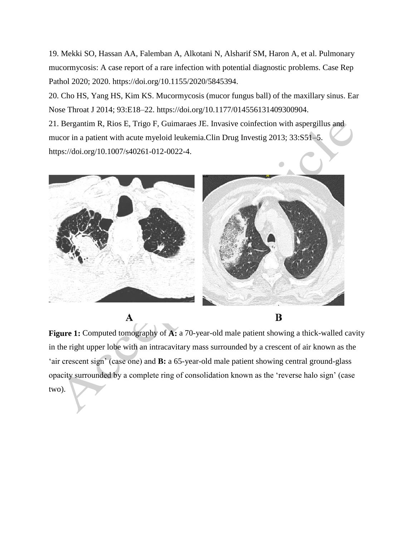19. Mekki SO, Hassan AA, Falemban A, Alkotani N, Alsharif SM, Haron A, et al. Pulmonary mucormycosis: A case report of a rare infection with potential diagnostic problems. Case Rep Pathol 2020; 2020. https://doi.org/10.1155/2020/5845394.

20. Cho HS, Yang HS, Kim KS. Mucormycosis (mucor fungus ball) of the maxillary sinus. Ear Nose Throat J 2014; 93:E18–22. https://doi.org/10.1177/014556131409300904.

21. Bergantim R, Rios E, Trigo F, Guimaraes JE. Invasive coinfection with aspergillus and mucor in a patient with acute myeloid leukemia.Clin Drug Investig 2013; 33:S51–5. https://doi.org/10.1007/s40261-012-0022-4.



A

B

**Figure 1:** Computed tomography of **A:** a 70-year-old male patient showing a thick-walled cavity in the right upper lobe with an intracavitary mass surrounded by a crescent of air known as the 'air crescent sign' (case one) and **B:** a 65-year-old male patient showing central ground-glass opacity surrounded by a complete ring of consolidation known as the 'reverse halo sign' (case two).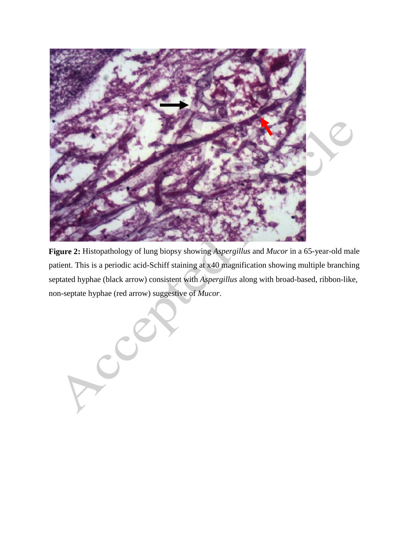

**Figure 2:** Histopathology of lung biopsy showing *Aspergillus* and *Mucor* in a 65-year-old male patient. This is a periodic acid-Schiff staining at x40 magnification showing multiple branching septated hyphae (black arrow) consistent with *Aspergillus* along with broad-based, ribbon-like, non-septate hyphae (red arrow) suggestive of *Mucor*.

 $\mathbf{C}^{\mathbf{r}}$ J.